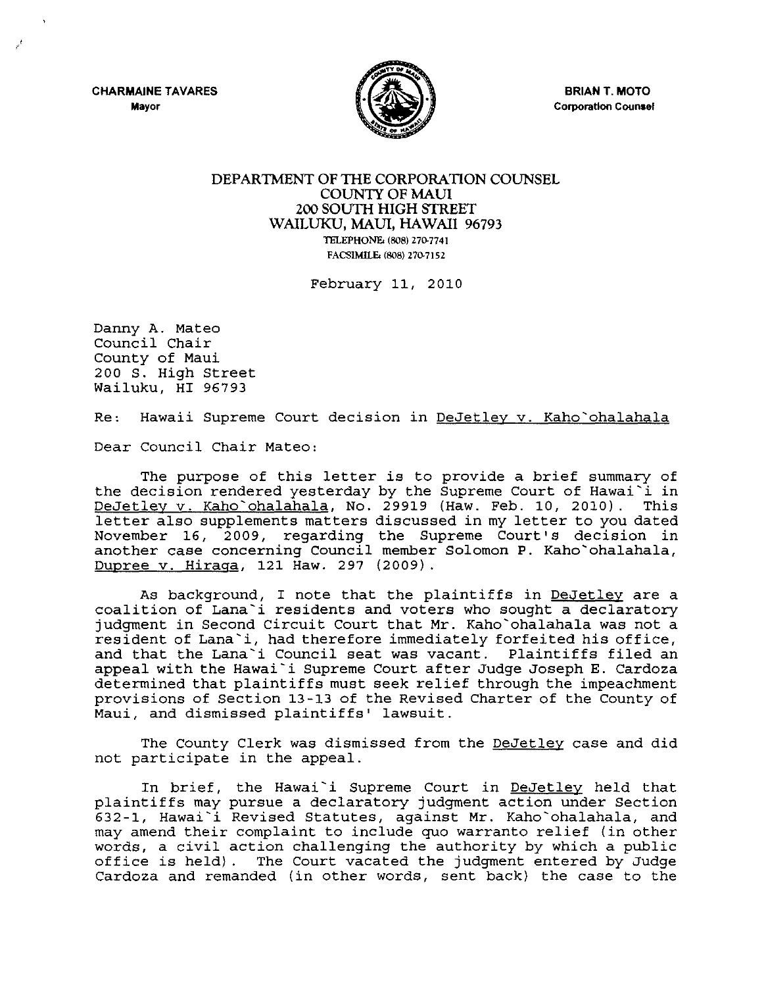**CHARMAINE TAVARES Mayor** 

 $\ddot{\mathbf{r}}$  $r$ 



BRIAN T. MOTO Corporation Counsel

## DEPARTMENT OF THE CORPORATION COUNSEL COUNTY OF MAUI 200 SOUTH HIGH STREET WAILUKU, MAUl, HAWAII 96793 TELEPHONE: (808) 270-7741 FACSIMILE: (808) 270-7152

February 11, 2010

Danny A. Mateo Council Chair County of Maui 200 S. High Street Wailuku, HI 96793

Re: Hawaii Supreme Court decision in DeJetley v. Kaho`ohalahala

Dear Council Chair Mateo:

The purpose of this letter is to provide a brief summary of the decision rendered yesterday by the Supreme Court of Hawai'i in DeJetley v. Kaho`ohalahala, No. 29919 (Haw. Feb. 10, 2010). letter also supplements matters discussed in my letter to you dated November 16, 2009, regarding the Supreme Court's decision in another case concerning Council member Solomon P. Kaho'ohalahala, Dupree v. Hiraga, 121 Haw. 297 (2009).

As background, I note that the plaintiffs in DeJetley are a coalition of Lana'i residents and voters who sought a declaratory judgment in Second Circuit Court that Mr. Kaho'ohalahala was not a resident of Lana'i, had therefore immediately forfeited his office, and that the Lana'i Council seat was vacant. Plaintiffs filed an appeal with the Hawai'i Supreme Court after Judge Joseph E. Cardoza determined that plaintiffs must seek relief through the impeachment provisions of Section 13-13 of the Revised Charter of the County of Maui, and dismissed plaintiffs' lawsuit.

The County Clerk was dismissed from the DeJetley case and did not participate in the appeal.

In brief, the Hawai'i Supreme Court in DeJetley held that plaintiffs may pursue a declaratory judgment action under Section 632-1, Hawai'i Revised Statutes, against Mr. Kaho'ohalahala, and may amend their complaint to include *quo* warranto relief (in other words, a civil action challenging the authority by which a public<br>office is held). The Court vacated the judgment entered by Judge The Court vacated the judgment entered by Judge Cardoza and remanded (in other words, sent back) the case to the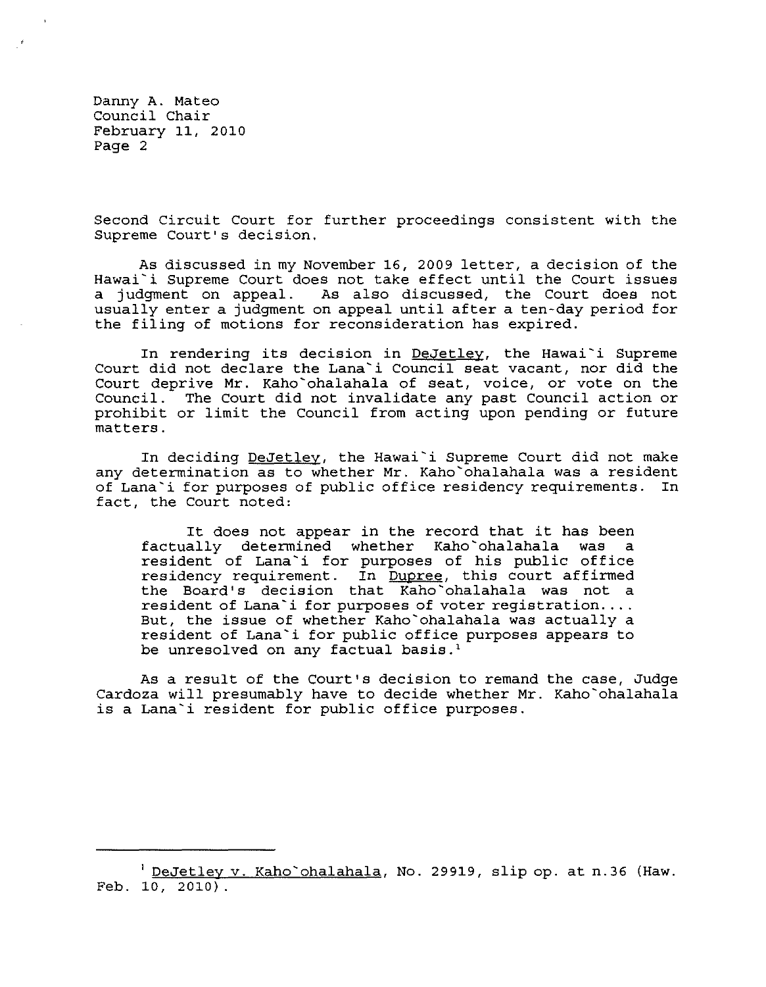Danny A. Mateo Council Chair February 11, 2010 Page 2

Second Circuit Court for further proceedings consistent with the Supreme Court's decision.

As discussed in my November 16, 2009 letter, a decision of the Hawai'i Supreme Court does not take effect until the Court issues<br>a judgment on appeal. As also discussed, the Court does not As also discussed, the Court does not usually enter a judgment on appeal until after a ten-day period for the filing of motions for reconsideration has expired.

In rendering its decision in DeJetley, the Hawai`i Supreme Court did not declare the Lana'i Council seat vacant, nor did the Court deprive Mr. Kaho'ohalahala of seat, voice, or vote on the Council. The Court did not invalidate any past Council action or prohibit or limit the Council from acting upon pending or future matters.

In deciding DeJetley, the Hawai'i Supreme Court did not make any determination as to whether Mr. Kaho'ohalahala was a resident of Lana'i for purposes of public office residency requirements. In fact, the Court noted:

It does not appear in the record that it has been<br>allv determined whether Kaho`ohalahala was a factually determined whether Kaho`ohalahala was resident of Lana'i for purposes of his public office residency requirement. In Dupree, this court affirmed the Board's decision that Kaho'ohalahala was not a resident of Lana'i for purposes of voter registration.... But, the issue of whether Kaho'ohalahala was actually a resident of Lana'i for public office purposes appears to be unresolved on any factual basis.<sup>1</sup>

As a result of the Court's decision to remand the case, Judge Cardoza will presumably have to decide whether Mr. Kaho'ohalahala is a Lana'i resident for public office purposes.

<sup>&</sup>lt;sup>1</sup> DeJetley v. Kaho`ohalahala, No. 29919, slip op. at n.36 (Haw. Feb. 10, 2010).